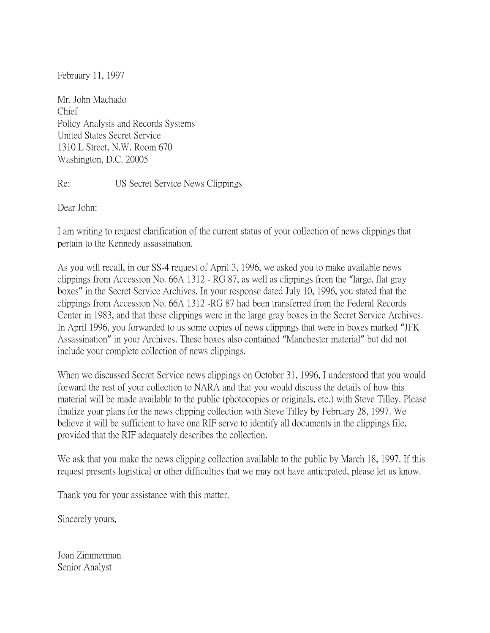February 11, 1997

Mr. John Machado Chief Policy Analysis and Records Systems United States Secret Service 1310 L Street, N.W. Room 670 Washington, D.C. 20005

Re: US Secret Service News Clippings

Dear John:

I am writing to request clarification of the current status of your collection of news clippings that pertain to the Kennedy assassination.

As you will recall, in our SS-4 request of April 3, 1996, we asked you to make available news clippings from Accession No. 66A 1312 - RG 87, as well as clippings from the "large, flat gray boxes" in the Secret Service Archives. In your response dated July 10, 1996, you stated that the clippings from Accession No. 66A 1312 -RG 87 had been transferred from the Federal Records Center in 1983, and that these clippings were in the large gray boxes in the Secret Service Archives. In April 1996, you forwarded to us some copies of news clippings that were in boxes marked "JFK Assassination" in your Archives. These boxes also contained "Manchester material" but did not include your complete collection of news clippings.

When we discussed Secret Service news clippings on October 31, 1996, I understood that you would forward the rest of your collection to NARA and that you would discuss the details of how this material will be made available to the public (photocopies or originals, etc.) with Steve Tilley. Please finalize your plans for the news clipping collection with Steve Tilley by February 28, 1997. We believe it will be sufficient to have one RIF serve to identify all documents in the clippings file, provided that the RIF adequately describes the collection.

We ask that you make the news clipping collection available to the public by March 18, 1997. If this request presents logistical or other difficulties that we may not have anticipated, please let us know.

Thank you for your assistance with this matter.

Sincerely yours,

Joan Zimmerman Senior Analyst